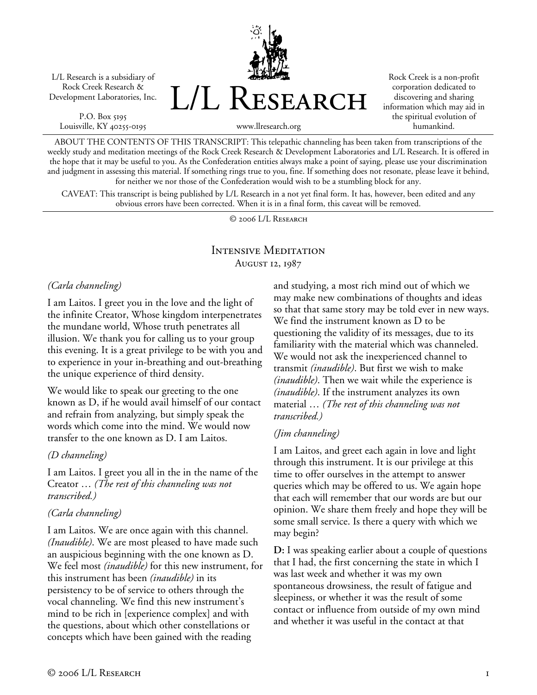L/L Research is a subsidiary of Rock Creek Research & Development Laboratories, Inc.

P.O. Box 5195 Louisville, KY 40255-0195 L/L Research

Rock Creek is a non-profit corporation dedicated to discovering and sharing information which may aid in the spiritual evolution of humankind.

www.llresearch.org

ABOUT THE CONTENTS OF THIS TRANSCRIPT: This telepathic channeling has been taken from transcriptions of the weekly study and meditation meetings of the Rock Creek Research & Development Laboratories and L/L Research. It is offered in the hope that it may be useful to you. As the Confederation entities always make a point of saying, please use your discrimination and judgment in assessing this material. If something rings true to you, fine. If something does not resonate, please leave it behind, for neither we nor those of the Confederation would wish to be a stumbling block for any.

CAVEAT: This transcript is being published by L/L Research in a not yet final form. It has, however, been edited and any obvious errors have been corrected. When it is in a final form, this caveat will be removed.

© 2006 L/L Research

## Intensive Meditation August 12, 1987

#### *(Carla channeling)*

I am Laitos. I greet you in the love and the light of the infinite Creator, Whose kingdom interpenetrates the mundane world, Whose truth penetrates all illusion. We thank you for calling us to your group this evening. It is a great privilege to be with you and to experience in your in-breathing and out-breathing the unique experience of third density.

We would like to speak our greeting to the one known as D, if he would avail himself of our contact and refrain from analyzing, but simply speak the words which come into the mind. We would now transfer to the one known as D. I am Laitos.

#### *(D channeling)*

I am Laitos. I greet you all in the in the name of the Creator … *(The rest of this channeling was not transcribed.)*

### *(Carla channeling)*

I am Laitos. We are once again with this channel. *(Inaudible)*. We are most pleased to have made such an auspicious beginning with the one known as D. We feel most *(inaudible)* for this new instrument, for this instrument has been *(inaudible)* in its persistency to be of service to others through the vocal channeling. We find this new instrument's mind to be rich in [experience complex] and with the questions, about which other constellations or concepts which have been gained with the reading

and studying, a most rich mind out of which we may make new combinations of thoughts and ideas so that that same story may be told ever in new ways. We find the instrument known as D to be questioning the validity of its messages, due to its familiarity with the material which was channeled. We would not ask the inexperienced channel to transmit *(inaudible)*. But first we wish to make *(inaudible)*. Then we wait while the experience is *(inaudible)*. If the instrument analyzes its own material … *(The rest of this channeling was not transcribed.)*

### *(Jim channeling)*

I am Laitos, and greet each again in love and light through this instrument. It is our privilege at this time to offer ourselves in the attempt to answer queries which may be offered to us. We again hope that each will remember that our words are but our opinion. We share them freely and hope they will be some small service. Is there a query with which we may begin?

**D:** I was speaking earlier about a couple of questions that I had, the first concerning the state in which I was last week and whether it was my own spontaneous drowsiness, the result of fatigue and sleepiness, or whether it was the result of some contact or influence from outside of my own mind and whether it was useful in the contact at that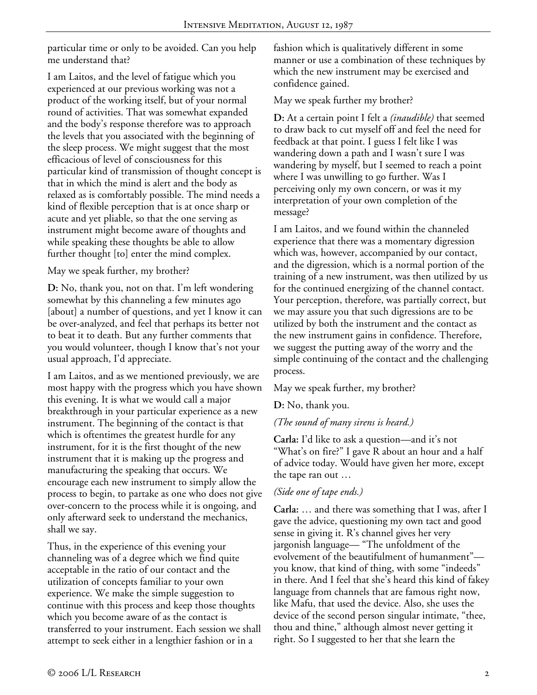particular time or only to be avoided. Can you help me understand that?

I am Laitos, and the level of fatigue which you experienced at our previous working was not a product of the working itself, but of your normal round of activities. That was somewhat expanded and the body's response therefore was to approach the levels that you associated with the beginning of the sleep process. We might suggest that the most efficacious of level of consciousness for this particular kind of transmission of thought concept is that in which the mind is alert and the body as relaxed as is comfortably possible. The mind needs a kind of flexible perception that is at once sharp or acute and yet pliable, so that the one serving as instrument might become aware of thoughts and while speaking these thoughts be able to allow further thought [to] enter the mind complex.

May we speak further, my brother?

**D:** No, thank you, not on that. I'm left wondering somewhat by this channeling a few minutes ago [about] a number of questions, and yet I know it can be over-analyzed, and feel that perhaps its better not to beat it to death. But any further comments that you would volunteer, though I know that's not your usual approach, I'd appreciate.

I am Laitos, and as we mentioned previously, we are most happy with the progress which you have shown this evening. It is what we would call a major breakthrough in your particular experience as a new instrument. The beginning of the contact is that which is oftentimes the greatest hurdle for any instrument, for it is the first thought of the new instrument that it is making up the progress and manufacturing the speaking that occurs. We encourage each new instrument to simply allow the process to begin, to partake as one who does not give over-concern to the process while it is ongoing, and only afterward seek to understand the mechanics, shall we say.

Thus, in the experience of this evening your channeling was of a degree which we find quite acceptable in the ratio of our contact and the utilization of concepts familiar to your own experience. We make the simple suggestion to continue with this process and keep those thoughts which you become aware of as the contact is transferred to your instrument. Each session we shall attempt to seek either in a lengthier fashion or in a

fashion which is qualitatively different in some manner or use a combination of these techniques by which the new instrument may be exercised and confidence gained.

May we speak further my brother?

**D:** At a certain point I felt a *(inaudible)* that seemed to draw back to cut myself off and feel the need for feedback at that point. I guess I felt like I was wandering down a path and I wasn't sure I was wandering by myself, but I seemed to reach a point where I was unwilling to go further. Was I perceiving only my own concern, or was it my interpretation of your own completion of the message?

I am Laitos, and we found within the channeled experience that there was a momentary digression which was, however, accompanied by our contact, and the digression, which is a normal portion of the training of a new instrument, was then utilized by us for the continued energizing of the channel contact. Your perception, therefore, was partially correct, but we may assure you that such digressions are to be utilized by both the instrument and the contact as the new instrument gains in confidence. Therefore, we suggest the putting away of the worry and the simple continuing of the contact and the challenging process.

May we speak further, my brother?

**D:** No, thank you.

*(The sound of many sirens is heard.)* 

**Carla:** I'd like to ask a question—and it's not "What's on fire?" I gave R about an hour and a half of advice today. Would have given her more, except the tape ran out …

# *(Side one of tape ends.)*

**Carla:** … and there was something that I was, after I gave the advice, questioning my own tact and good sense in giving it. R's channel gives her very jargonish language— "The unfoldment of the evolvement of the beautifulment of humanment" you know, that kind of thing, with some "indeeds" in there. And I feel that she's heard this kind of fakey language from channels that are famous right now, like Mafu, that used the device. Also, she uses the device of the second person singular intimate, "thee, thou and thine," although almost never getting it right. So I suggested to her that she learn the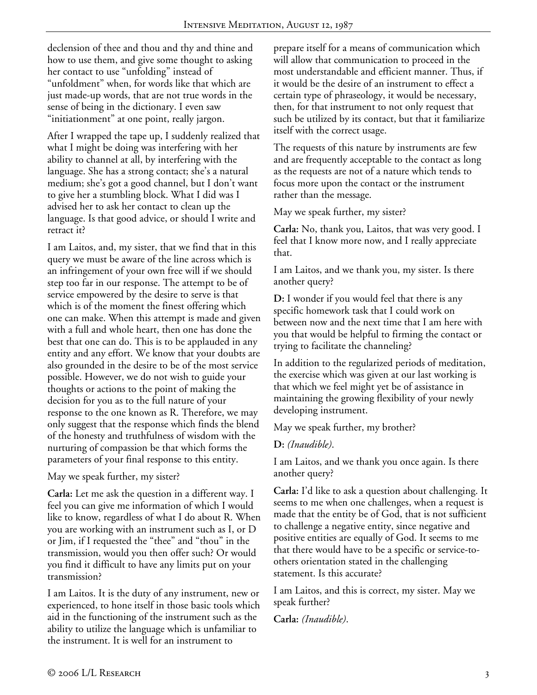declension of thee and thou and thy and thine and how to use them, and give some thought to asking her contact to use "unfolding" instead of "unfoldment" when, for words like that which are just made-up words, that are not true words in the sense of being in the dictionary. I even saw "initiationment" at one point, really jargon.

After I wrapped the tape up, I suddenly realized that what I might be doing was interfering with her ability to channel at all, by interfering with the language. She has a strong contact; she's a natural medium; she's got a good channel, but I don't want to give her a stumbling block. What I did was I advised her to ask her contact to clean up the language. Is that good advice, or should I write and retract it?

I am Laitos, and, my sister, that we find that in this query we must be aware of the line across which is an infringement of your own free will if we should step too far in our response. The attempt to be of service empowered by the desire to serve is that which is of the moment the finest offering which one can make. When this attempt is made and given with a full and whole heart, then one has done the best that one can do. This is to be applauded in any entity and any effort. We know that your doubts are also grounded in the desire to be of the most service possible. However, we do not wish to guide your thoughts or actions to the point of making the decision for you as to the full nature of your response to the one known as R. Therefore, we may only suggest that the response which finds the blend of the honesty and truthfulness of wisdom with the nurturing of compassion be that which forms the parameters of your final response to this entity.

May we speak further, my sister?

**Carla:** Let me ask the question in a different way. I feel you can give me information of which I would like to know, regardless of what I do about R. When you are working with an instrument such as I, or D or Jim, if I requested the "thee" and "thou" in the transmission, would you then offer such? Or would you find it difficult to have any limits put on your transmission?

I am Laitos. It is the duty of any instrument, new or experienced, to hone itself in those basic tools which aid in the functioning of the instrument such as the ability to utilize the language which is unfamiliar to the instrument. It is well for an instrument to

prepare itself for a means of communication which will allow that communication to proceed in the most understandable and efficient manner. Thus, if it would be the desire of an instrument to effect a certain type of phraseology, it would be necessary, then, for that instrument to not only request that such be utilized by its contact, but that it familiarize itself with the correct usage.

The requests of this nature by instruments are few and are frequently acceptable to the contact as long as the requests are not of a nature which tends to focus more upon the contact or the instrument rather than the message.

May we speak further, my sister?

**Carla:** No, thank you, Laitos, that was very good. I feel that I know more now, and I really appreciate that.

I am Laitos, and we thank you, my sister. Is there another query?

**D:** I wonder if you would feel that there is any specific homework task that I could work on between now and the next time that I am here with you that would be helpful to firming the contact or trying to facilitate the channeling?

In addition to the regularized periods of meditation, the exercise which was given at our last working is that which we feel might yet be of assistance in maintaining the growing flexibility of your newly developing instrument.

May we speak further, my brother?

**D:** *(Inaudible)*.

I am Laitos, and we thank you once again. Is there another query?

**Carla:** I'd like to ask a question about challenging. It seems to me when one challenges, when a request is made that the entity be of God, that is not sufficient to challenge a negative entity, since negative and positive entities are equally of God. It seems to me that there would have to be a specific or service-toothers orientation stated in the challenging statement. Is this accurate?

I am Laitos, and this is correct, my sister. May we speak further?

**Carla:** *(Inaudible)*.